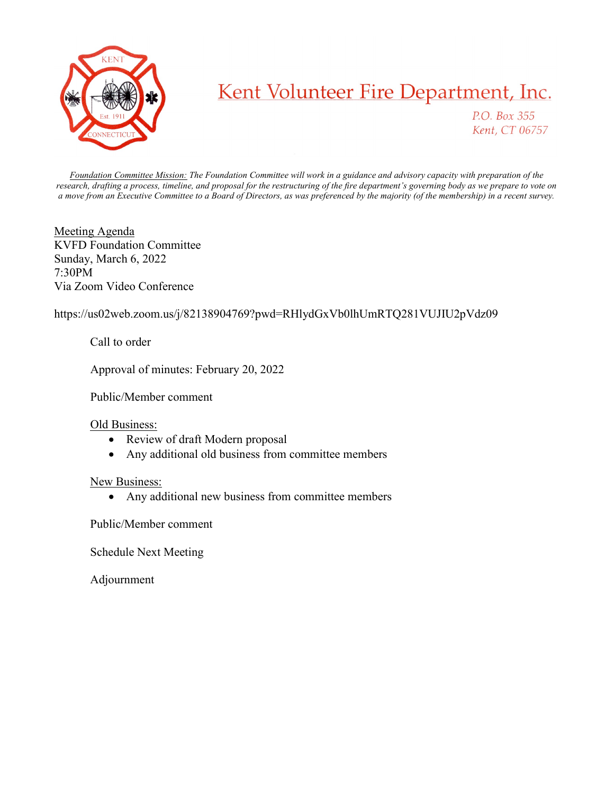

## Kent Volunteer Fire Department, Inc.

P.O. Box 355 Kent, CT 06757

Foundation Committee Mission: The Foundation Committee will work in a guidance and advisory capacity with preparation of the research, drafting a process, timeline, and proposal for the restructuring of the fire department's governing body as we prepare to vote on a move from an Executive Committee to a Board of Directors, as was preferenced by the majority (of the membership) in a recent survey.

Meeting Agenda KVFD Foundation Committee Sunday, March 6, 2022 7:30PM Via Zoom Video Conference

https://us02web.zoom.us/j/82138904769?pwd=RHlydGxVb0lhUmRTQ281VUJIU2pVdz09

Call to order

Approval of minutes: February 20, 2022

Public/Member comment

## Old Business:

- Review of draft Modern proposal
- Any additional old business from committee members

## New Business:

• Any additional new business from committee members

Public/Member comment

Schedule Next Meeting

Adjournment